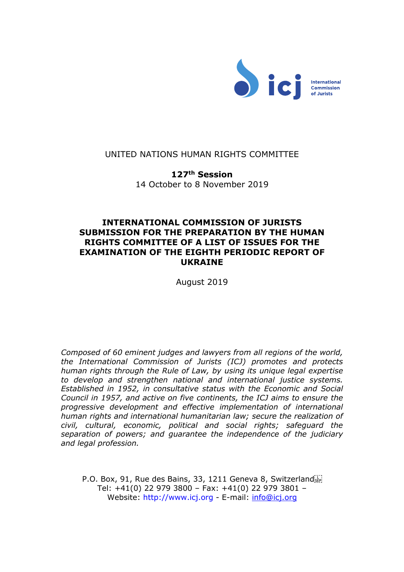

# UNITED NATIONS HUMAN RIGHTS COMMITTEE

**127th Session** 14 October to 8 November 2019

# **INTERNATIONAL COMMISSION OF JURISTS SUBMISSION FOR THE PREPARATION BY THE HUMAN RIGHTS COMMITTEE OF A LIST OF ISSUES FOR THE EXAMINATION OF THE EIGHTH PERIODIC REPORT OF UKRAINE**

August 2019

*Composed of 60 eminent judges and lawyers from all regions of the world, the International Commission of Jurists (ICJ) promotes and protects human rights through the Rule of Law, by using its unique legal expertise to develop and strengthen national and international justice systems. Established in 1952, in consultative status with the Economic and Social Council in 1957, and active on five continents, the ICJ aims to ensure the progressive development and effective implementation of international human rights and international humanitarian law; secure the realization of civil, cultural, economic, political and social rights; safeguard the separation of powers; and guarantee the independence of the judiciary and legal profession.* 

P.O. Box, 91, Rue des Bains, 33, 1211 Geneva 8, Switzerland Tel: +41(0) 22 979 3800 – Fax: +41(0) 22 979 3801 – Website: http://www.icj.org - E-mail: [info@icj.org](mailto:info@icj.org)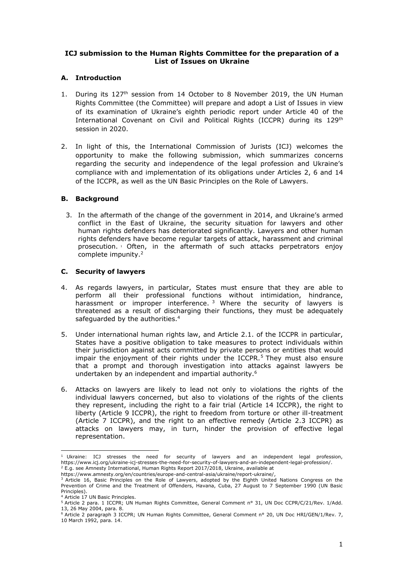## **ICJ submission to the Human Rights Committee for the preparation of a List of Issues on Ukraine**

# **A. Introduction**

- 1. During its 127<sup>th</sup> session from 14 October to 8 November 2019, the UN Human Rights Committee (the Committee) will prepare and adopt a List of Issues in view of its examination of Ukraine's eighth periodic report under Article 40 of the International Covenant on Civil and Political Rights (ICCPR) during its 129<sup>th</sup> session in 2020.
- 2. In light of this, the International Commission of Jurists (ICJ) welcomes the opportunity to make the following submission, which summarizes concerns regarding the security and independence of the legal profession and Ukraine's compliance with and implementation of its obligations under Articles 2, 6 and 14 of the ICCPR, as well as the UN Basic Principles on the Role of Lawyers.

### **B. Background**

3. In the aftermath of the change of the government in 2014, and Ukraine's armed conflict in the East of Ukraine, the security situation for lawyers and other human rights defenders has deteriorated significantly. Lawyers and other human rights defenders have become regular targets of attack, harassment and criminal prosecution. <sup>1</sup> Often, in the aftermath of such attacks perpetrators enjoy complete impunity. 2

## **C. Security of lawyers**

- 4. As regards lawyers, in particular, States must ensure that they are able to perform all their professional functions without intimidation, hindrance, harassment or improper interference.<sup>3</sup> Where the security of lawyers is threatened as a result of discharging their functions, they must be adequately safeguarded by the authorities.<sup>4</sup>
- 5. Under international human rights law, and Article 2.1. of the ICCPR in particular, States have a positive obligation to take measures to protect individuals within their jurisdiction against acts committed by private persons or entities that would impair the enjoyment of their rights under the ICCPR. $<sup>5</sup>$  They must also ensure</sup> that a prompt and thorough investigation into attacks against lawyers be undertaken by an independent and impartial authority.<sup>6</sup>
- 6. Attacks on lawyers are likely to lead not only to violations the rights of the individual lawyers concerned, but also to violations of the rights of the clients they represent, including the right to a fair trial (Article 14 ICCPR), the right to liberty (Article 9 ICCPR), the right to freedom from torture or other ill-treatment (Article 7 ICCPR), and the right to an effective remedy (Article 2.3 ICCPR) as attacks on lawyers may, in turn, hinder the provision of effective legal representation.

 $1$  Ukraine: ICJ stresses the need for security of lawyers and an independent legal profession, https://www.icj.org/ukraine-icj-stresses-the-need-for-security-of-lawyers-and-an-independent-legal-profession/.  $2$  E.g. see Amnesty International, Human Rights Report 2017/2018, Ukraine, available at

https://www.amnesty.org/en/countries/europe-and-central-asia/ukraine/report-ukraine/,

<sup>&</sup>lt;sup>3</sup> Article 16, Basic Principles on the Role of Lawyers, adopted by the Eighth United Nations Congress on the Prevention of Crime and the Treatment of Offenders, Havana, Cuba, 27 August to 7 September 1990 (UN Basic Principles).

<sup>4</sup> Article 17 UN Basic Principles.

<sup>5</sup> Article 2 para. 1 ICCPR; UN Human Rights Committee, General Comment n° 31, UN Doc CCPR/C/21/Rev. 1/Add. 13, 26 May 2004, para. 8.

<sup>6</sup> Article 2 paragraph 3 ICCPR; UN Human Rights Committee, General Comment n° 20, UN Doc HRI/GEN/1/Rev. 7, 10 March 1992, para. 14.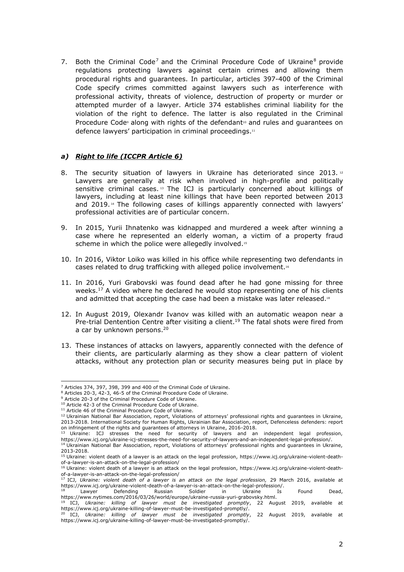7. Both the Criminal Code<sup>7</sup> and the Criminal Procedure Code of Ukraine<sup>8</sup> provide regulations protecting lawyers against certain crimes and allowing them procedural rights and guarantees. In particular, articles 397-400 of the Criminal Code specify crimes committed against lawyers such as interference with professional activity, threats of violence, destruction of property or murder or attempted murder of a lawyer. Article 374 establishes criminal liability for the violation of the right to defence. The latter is also regulated in the Criminal Procedure Code<sup>9</sup> along with rights of the defendant<sup>10</sup> and rules and guarantees on defence lawyers' participation in criminal proceedings.<sup>11</sup>

#### *a) Right to life (ICCPR Article 6)*

- 8. The security situation of lawyers in Ukraine has deteriorated since 2013.  $^{12}$ Lawyers are generally at risk when involved in high-profile and politically sensitive criminal cases. <sup>13</sup> The ICJ is particularly concerned about killings of lawyers, including at least nine killings that have been reported between 2013 and 2019.<sup>14</sup> The following cases of killings apparently connected with lawyers' professional activities are of particular concern.
- 9. In 2015, Yurii Ihnatenko was kidnapped and murdered a week after winning a case where he represented an elderly woman, a victim of a property fraud scheme in which the police were allegedly involved.<sup>15</sup>
- 10. In 2016, Viktor Loiko was killed in his office while representing two defendants in cases related to drug trafficking with alleged police involvement.<sup>16</sup>
- 11. In 2016, Yuri Grabovski was found dead after he had gone missing for three weeks.<sup>17</sup> A video where he declared he would stop representing one of his clients and admitted that accepting the case had been a mistake was later released.<sup>18</sup>
- 12. In August 2019, Olexandr Ivanov was killed with an automatic weapon near a Pre-trial Dentention Centre after visiting a client.<sup>19</sup> The fatal shots were fired from a car by unknown persons.<sup>20</sup>
- 13. These instances of attacks on lawyers, apparently connected with the defence of their clients, are particularly alarming as they show a clear pattern of violent attacks, without any protection plan or security measures being put in place by

<sup>7</sup> Articles 374, 397, 398, 399 and 400 of the Criminal Code of Ukraine.

<sup>8</sup> Articles 20-3, 42-3, 46-5 of the Criminal Procedure Code of Ukraine.

<sup>9</sup> Article 20-3 of the Criminal Procedure Code of Ukraine.

<sup>10</sup> Article 42-3 of the Criminal Procedure Code of Ukraine.

<sup>&</sup>lt;sup>11</sup> Article 46 of the Criminal Procedure Code of Ukraine.

 $12$  Ukrainian National Bar Association, report, Violations of attorneys' professional rights and guarantees in Ukraine, 2013-2018. International Society for Human Rights, Ukrainian Bar Association, report, Defenceless defenders: report on infringement of the rights and guarantees of attorneys in Ukraine, 2016-2018.<br><sup>13</sup> Ukraine: ICJ stresses the second in Care of attorneys in Ukraine, 2016-2018.

 $13$  Ukraine: ICJ stresses the need for security of lawyers and an independent legal profession, https://www.icj.org/ukraine-icj-stresses-the-need-for-security-of-lawyers-and-an-independent-legal-profession/. <sup>14</sup> Ukrainian National Bar Association, report, Violations of attorneys' professional rights and guarantees in Ukraine, 2013-2018.

<sup>15</sup> Ukraine: violent death of a lawyer is an attack on the legal profession, https://www.icj.org/ukraine-violent-death-

of-a-lawyer-is-an-attack-on-the-legal-profession/<br><sup>16</sup> Ukraine: violent death of a lawyer is an attack on the legal profession, https://www.icj.org/ukraine-violent-deathof-a-lawyer-is-an-attack-on-the-legal-profession/ <sup>17</sup> ICJ, *Ukraine: violent death of a lawyer is an attack on the legal profession,* 29 March 2016, available at

https://www.icj.org/ukraine-violent-death-of-a-lawyer-is-an-attack-on-the-legal-profession/.

<sup>&</sup>lt;sup>18</sup> Lawyer Defending Russian Soldier in Ukraine Is Found Dead, https://www.nytimes.com/2016/03/26/world/europe/ukraine-russia-yuri-grabovsky.html.

<sup>19</sup> ICJ, *Ukraine: killing of lawyer must be investigated promptly*, 22 August 2019, available at https://www.icj.org/ukraine-killing-of-lawyer-must-be-investigated-promptly/.

<sup>20</sup> ICJ, *Ukraine: killing of lawyer must be investigated promptly*, 22 August 2019, available at https://www.icj.org/ukraine-killing-of-lawyer-must-be-investigated-promptly/.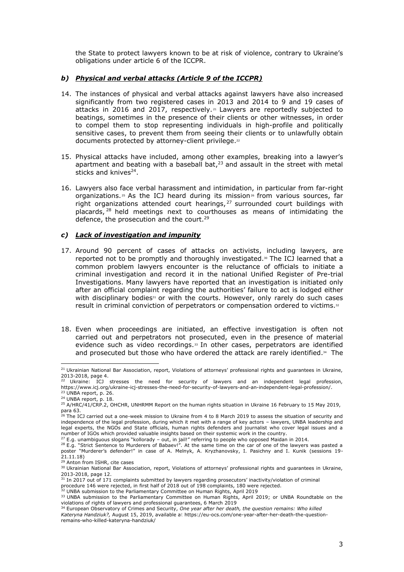the State to protect lawyers known to be at risk of violence, contrary to Ukraine's obligations under article 6 of the ICCPR.

## *b) Physical and verbal attacks (Article 9 of the ICCPR)*

- 14. The instances of physical and verbal attacks against lawyers have also increased significantly from two registered cases in 2013 and 2014 to 9 and 19 cases of attacks in 2016 and 2017, respectively. <sup>21</sup> Lawyers are reportedly subjected to beatings, sometimes in the presence of their clients or other witnesses, in order to compel them to stop representing individuals in high-profile and politically sensitive cases, to prevent them from seeing their clients or to unlawfully obtain documents protected by attorney-client privilege. 22
- 15. Physical attacks have included, among other examples, breaking into a lawyer's apartment and beating with a baseball bat, $2<sup>3</sup>$  and assault in the street with metal sticks and knives<sup>24</sup>.
- 16. Lawyers also face verbal harassment and intimidation, in particular from far-right organizations.<sup>25</sup> As the ICJ heard during its mission<sup>26</sup> from various sources, far right organizations attended court hearings, <sup>27</sup> surrounded court buildings with placards, <sup>28</sup> held meetings next to courthouses as means of intimidating the defence, the prosecution and the court.<sup>29</sup>

## *c) Lack of investigation and impunity*

- 17. Around 90 percent of cases of attacks on activists, including lawyers, are reported not to be promptly and thoroughly investigated.<sup>30</sup> The ICJ learned that a common problem lawyers encounter is the reluctance of officials to initiate a criminal investigation and record it in the national Unified Register of Pre-trial Investigations. Many lawyers have reported that an investigation is initiated only after an official complaint regarding the authorities' failure to act is lodged either with disciplinary bodies $31$  or with the courts. However, only rarely do such cases result in criminal conviction of perpetrators or compensation ordered to victims. $32$
- 18. Even when proceedings are initiated, an effective investigation is often not carried out and perpetrators not prosecuted, even in the presence of material evidence such as video recordings. <sup>33</sup> In other cases, perpetrators are identified and prosecuted but those who have ordered the attack are rarely identified. $\ast$  The

<sup>&</sup>lt;sup>21</sup> Ukrainian National Bar Association, report, Violations of attorneys' professional rights and guarantees in Ukraine, 2013-2018, page 4.

 $22$  Ukraine: ICJ stresses the need for security of lawyers and an independent legal profession, https://www.icj.org/ukraine-icj-stresses-the-need-for-security-of-lawyers-and-an-independent-legal-profession/. <sup>23</sup> UNBA report, p. 26.

<sup>24</sup> UNBA report, p. 18.

<sup>&</sup>lt;sup>25</sup> A/HRC/41/CRP.2, OHCHR, UNHRMM Report on the human rights situation in Ukraine 16 February to 15 May 2019, para  $63.$ 

 $6$  The ICJ carried out a one-week mission to Ukraine from 4 to 8 March 2019 to assess the situation of security and independence of the legal profession, during which it met with a range of key actors – lawyers, UNBA leadership and legal experts, the NGOs and State officials, human rights defenders and journalist who cover legal issues and a number of IGOs which provided valuable insights based on their systemic work in the country.

 $27$  E.g. unambiguous slogans "kollorady – out, in jail!" referring to people who opposed Maidan in 2014.

<sup>&</sup>lt;sup>28</sup> E.g. "Strict Sentence to Murderers of Babaev!". At the same time on the car of one of the lawyers was pasted a poster "Murderer's defender!" in case of A. Melnyk, A. Kryzhanovsky, I. Pasichny and I. Kunik (sessions 19- 21.11.18)

<sup>&</sup>lt;sup>29</sup> Anton from ISHR, cite cases

<sup>30</sup> Ukrainian National Bar Association, report, Violations of attorneys' professional rights and guarantees in Ukraine, 2013-2018, page 12.

<sup>31</sup> In 2017 out of 171 complaints submitted by lawyers regarding prosecutors' inactivity/violation of criminal

procedure 146 were rejected, in first half of 2018 out of 198 complaints, 180 were rejected.<br><sup>32</sup> UNBA submission to the Parliamentary Committee on Human Rights, April 2019

<sup>33</sup> UNBA submission to the Parliamentary Committee on Human Rights, April 2019; or UNBA Roundtable on the

violations of rights of lawyers and professional guarantees, 6 March 2019

<sup>34</sup> European Observatory of Crimes and Security, *One year after her death, the question [remains:](https://eu-ocs.com/one-year-after-her-death-the-question-remains-who-killed-kateryna-handziuk/) Who killed Kateryna [Handziuk?,](https://eu-ocs.com/one-year-after-her-death-the-question-remains-who-killed-kateryna-handziuk/)* August 15, 2019, available at https://eu-ocs.com/one-year-after-her-death-the-questionremains-who-killed-kateryna-handziuk/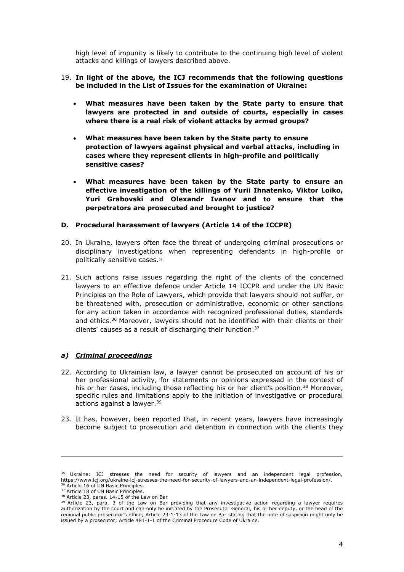high level of impunity is likely to contribute to the continuing high level of violent attacks and killings of lawyers described above.

- 19. **In light of the above, the ICJ recommends that the following questions be included in the List of Issues for the examination of Ukraine:** 
	- **What measures have been taken by the State party to ensure that lawyers are protected in and outside of courts, especially in cases where there is a real risk of violent attacks by armed groups?**
	- **What measures have been taken by the State party to ensure protection of lawyers against physical and verbal attacks, including in cases where they represent clients in high-profile and politically sensitive cases?**
	- **What measures have been taken by the State party to ensure an effective investigation of the killings of Yurii Ihnatenko, Viktor Loiko, Yuri Grabovski and Olexandr Ivanov and to ensure that the perpetrators are prosecuted and brought to justice?**

#### **D. Procedural harassment of lawyers (Article 14 of the ICCPR)**

- 20. In Ukraine, lawyers often face the threat of undergoing criminal prosecutions or disciplinary investigations when representing defendants in high-profile or politically sensitive cases.<sup>35</sup>
- 21. Such actions raise issues regarding the right of the clients of the concerned lawyers to an effective defence under Article 14 ICCPR and under the UN Basic Principles on the Role of Lawyers, which provide that lawyers should not suffer, or be threatened with, prosecution or administrative, economic or other sanctions for any action taken in accordance with recognized professional duties, standards and ethics.<sup>36</sup> Moreover, lawyers should not be identified with their clients or their clients' causes as a result of discharging their function.<sup>37</sup>

### *a) Criminal proceedings*

- 22. According to Ukrainian law, a lawyer cannot be prosecuted on account of his or her professional activity, for statements or opinions expressed in the context of his or her cases, including those reflecting his or her client's position.<sup>38</sup> Moreover, specific rules and limitations apply to the initiation of investigative or procedural actions against a lawyer. 39
- 23. It has, however, been reported that, in recent years, lawyers have increasingly become subject to prosecution and detention in connection with the clients they

<sup>&</sup>lt;sup>35</sup> Ukraine: ICJ stresses the need for security of lawyers and an independent legal profession, https://www.icj.org/ukraine-icj-stresses-the-need-for-security-of-lawyers-and-an-independent-legal-profession/. <sup>36</sup> Article 16 of UN Basic Principles.

<sup>&</sup>lt;sup>37</sup> Article 18 of UN Basic Principles.

<sup>38</sup> Article 23, paras. 14-15 of the Law on Bar

 $39$  Article 23, para. 3 of the Law on Bar providing that any investigative action regarding a lawyer requires authorization by the court and can only be initiated by the Prosecutor General, his or her deputy, or the head of the regional public prosecutor's office; Article 23-1-13 of the Law on Bar stating that the note of suspicion might only be issued by a prosecutor; Article 481-1-1 of the Criminal Procedure Code of Ukraine.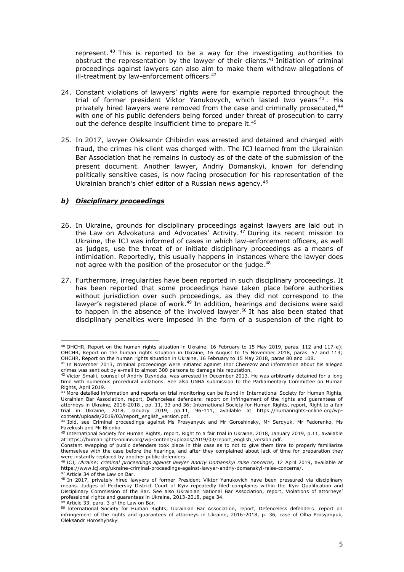represent. <sup>40</sup> This is reported to be a way for the investigating authorities to obstruct the representation by the lawyer of their clients. <sup>41</sup> Initiation of criminal proceedings against lawyers can also aim to make them withdraw allegations of ill-treatment by law-enforcement officers. 42

- 24. Constant violations of lawyers' rights were for example reported throughout the trial of former president Viktor Yanukovych, which lasted two years<sup>43</sup>. His privately hired lawyers were removed from the case and criminally prosecuted,<sup>44</sup> with one of his public defenders being forced under threat of prosecution to carry out the defence despite insufficient time to prepare it.<sup>45</sup>
- 25. In 2017, lawyer Oleksandr Chibirdin was arrested and detained and charged with fraud, the crimes his client was charged with. The ICJ learned from the Ukrainian Bar Association that he remains in custody as of the date of the submission of the present document. Another lawyer, Andriy Domanskyi, known for defending politically sensitive cases, is now facing prosecution for his representation of the Ukrainian branch's chief editor of a Russian news agency. 46

#### *b) Disciplinary proceedings*

- 26. In Ukraine, grounds for disciplinary proceedings against lawyers are laid out in the Law on Advokatura and Advocates' Activity.<sup>47</sup> During its recent mission to Ukraine, the ICJ was informed of cases in which law-enforcement officers, as well as judges, use the threat of or initiate disciplinary proceedings as a means of intimidation. Reportedly, this usually happens in instances where the lawyer does not agree with the position of the prosecutor or the judge. 48
- 27. Furthermore, irregularities have been reported in such disciplinary proceedings. It has been reported that some proceedings have taken place before authorities without jurisdiction over such proceedings, as they did not correspond to the lawyer's registered place of work.<sup>49</sup> In addition, hearings and decisions were said to happen in the absence of the involved lawyer. <sup>50</sup> It has also been stated that disciplinary penalties were imposed in the form of a suspension of the right to

<sup>40</sup> OHCHR, Report on the human rights situation in Ukraine, 16 February to 15 May 2019, paras. 112 and 117-e); OHCHR, Report on the human rights situation in Ukraine, 16 August to 15 November 2018, paras. 57 and 113; OHCHR, Report on the human rights situation in Ukraine, 16 February to 15 May 2018, paras 80 and 108.

<sup>41</sup> In November 2013, criminal proceedings were initiated against Ihor Cherezov and information about his alleged crimes was sent out by e-mail to almost 300 persons to damage his reputation.<br><sup>42</sup> Victor Smalii, counsel of Andriy Dzyndzia, was arrested in December 2013. He was arbitrarily detained for a long

time with numerous procedural violations. See also UNBA submission to the Parliamentary Committee on Human Rights, April 2019.

<sup>&</sup>lt;sup>43</sup> More detailed information and reports on trial monitoring can be found in International Society for Human Rights, Ukrainian Bar Association, report, Defenceless defenders: report on infringement of the rights and guarantees of attorneys in Ukraine, 2016-2018., pp. 11, 33 and 36; International Society for Human Rights, report, Right to a fair trial in Ukraine, 2018, January 2019, pp.11, 96-111, available at https://humanrights-online.org/wp-

content/uploads/2019/03/report\_english\_version.pdf. <sup>44</sup> Ibid, see Criminal proceedings against Ms Prosyanyuk and Mr Goroshinsky, Mr Serdyuk, Mr Fedorenko, Ms Fazekosh and Mr Bilenko.

<sup>45</sup> International Society for Human Rights, report, Right to a fair trial in Ukraine, 2018, January 2019, p.11, available at https://humanrights-online.org/wp-content/uploads/2019/03/report\_english\_version.pdf.

Constant swapping of public defenders took place in this case as to not to give them time to properly familiarize themselves with the case before the hearings, and after they complained about lack of time for preparation they

were instantly replaced by another public defenders.<br><sup>46</sup> ICJ, *Ukraine: criminal proceedings against lawyer Andriy Domanskyi raise concerns,* 12 April 2019, available at https://www.icj.org/ukraine-criminal-proceedings-against-lawyer-andriy-domanskyi-raise-concerns/.<br><sup>47</sup> Article 34 of the Law on Bar.

<sup>48</sup> In 2017, privately hired lawyers of former President Viktor Yanukovich have been pressured via disciplinary means. Judges of Pechersky District Court of Kyiv repeatedly filed complaints within the Kyiv Qualification and Disciplinary Commission of the Bar. See also Ukrainian National Bar Association, report, Violations of attorneys' professional rights and guarantees in Ukraine, 2013-2018, page 34.<br><sup>49</sup> Article 33, para. 3 of the Law on Bar.

<sup>50</sup> International Society for Human Rights, Ukrainian Bar Association, report, Defenceless defenders: report on infringement of the rights and guarantees of attorneys in Ukraine, 2016-2018, p. 36, case of Olha Prosyanyuk, Oleksandr Horoshynskyi